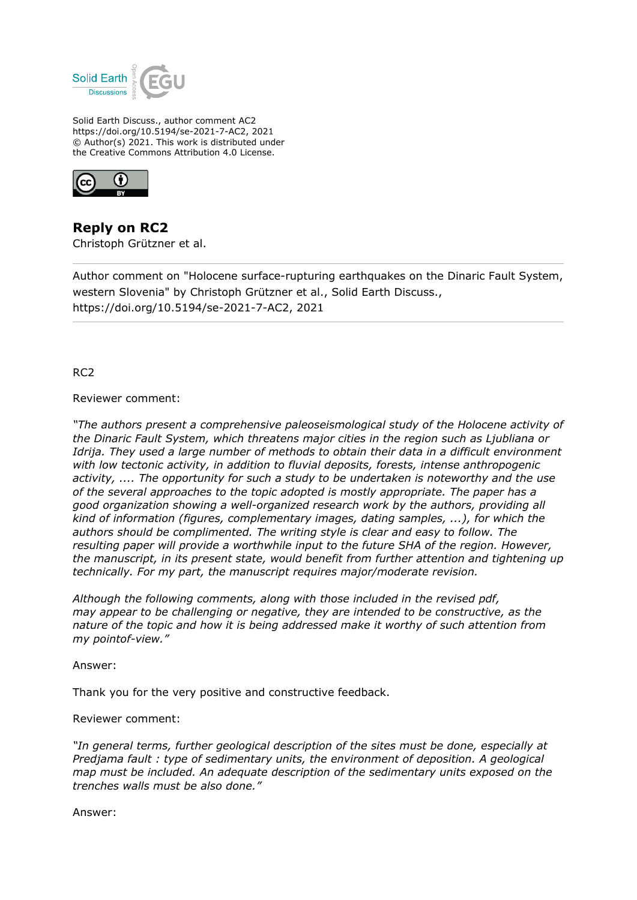

Solid Earth Discuss., author comment AC2 https://doi.org/10.5194/se-2021-7-AC2, 2021 © Author(s) 2021. This work is distributed under the Creative Commons Attribution 4.0 License.



**Reply on RC2** Christoph Grützner et al.

Author comment on "Holocene surface-rupturing earthquakes on the Dinaric Fault System, western Slovenia" by Christoph Grützner et al., Solid Earth Discuss., https://doi.org/10.5194/se-2021-7-AC2, 2021

RC2

Reviewer comment:

*"The authors present a comprehensive paleoseismological study of the Holocene activity of the Dinaric Fault System, which threatens major cities in the region such as Ljubliana or Idrija. They used a large number of methods to obtain their data in a difficult environment with low tectonic activity, in addition to fluvial deposits, forests, intense anthropogenic activity, .... The opportunity for such a study to be undertaken is noteworthy and the use of the several approaches to the topic adopted is mostly appropriate. The paper has a good organization showing a well-organized research work by the authors, providing all kind of information (figures, complementary images, dating samples, ...), for which the authors should be complimented. The writing style is clear and easy to follow. The resulting paper will provide a worthwhile input to the future SHA of the region. However, the manuscript, in its present state, would benefit from further attention and tightening up technically. For my part, the manuscript requires major/moderate revision.*

*Although the following comments, along with those included in the revised pdf, may appear to be challenging or negative, they are intended to be constructive, as the nature of the topic and how it is being addressed make it worthy of such attention from my pointof-view."*

Answer:

Thank you for the very positive and constructive feedback.

Reviewer comment:

*"In general terms, further geological description of the sites must be done, especially at Predjama fault : type of sedimentary units, the environment of deposition. A geological map must be included. An adequate description of the sedimentary units exposed on the trenches walls must be also done."*

Answer: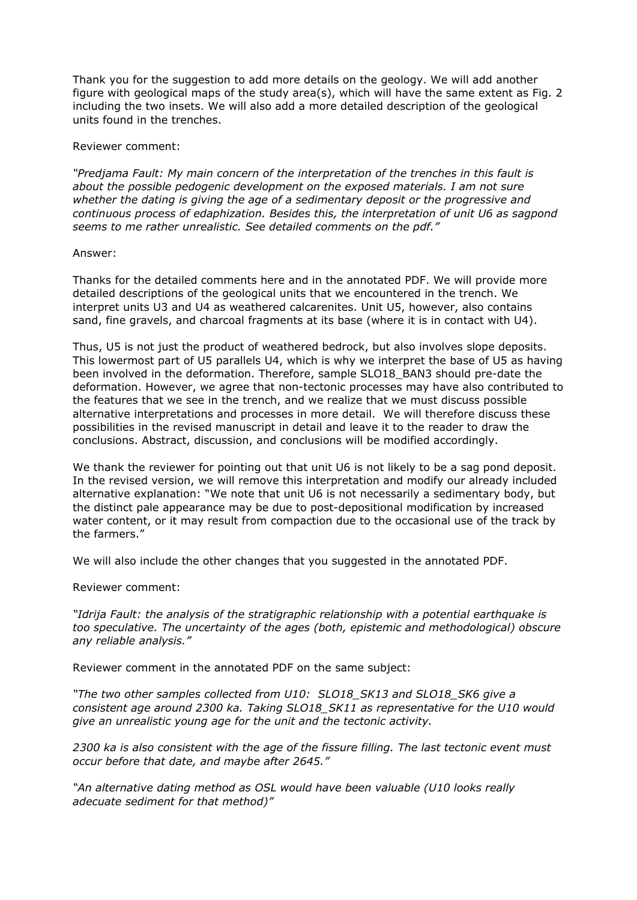Thank you for the suggestion to add more details on the geology. We will add another figure with geological maps of the study area(s), which will have the same extent as Fig. 2 including the two insets. We will also add a more detailed description of the geological units found in the trenches.

Reviewer comment:

*"Predjama Fault: My main concern of the interpretation of the trenches in this fault is about the possible pedogenic development on the exposed materials. I am not sure whether the dating is giving the age of a sedimentary deposit or the progressive and continuous process of edaphization. Besides this, the interpretation of unit U6 as sagpond seems to me rather unrealistic. See detailed comments on the pdf."*

### Answer:

Thanks for the detailed comments here and in the annotated PDF. We will provide more detailed descriptions of the geological units that we encountered in the trench. We interpret units U3 and U4 as weathered calcarenites. Unit U5, however, also contains sand, fine gravels, and charcoal fragments at its base (where it is in contact with U4).

Thus, U5 is not just the product of weathered bedrock, but also involves slope deposits. This lowermost part of U5 parallels U4, which is why we interpret the base of U5 as having been involved in the deformation. Therefore, sample SLO18\_BAN3 should pre-date the deformation. However, we agree that non-tectonic processes may have also contributed to the features that we see in the trench, and we realize that we must discuss possible alternative interpretations and processes in more detail. We will therefore discuss these possibilities in the revised manuscript in detail and leave it to the reader to draw the conclusions. Abstract, discussion, and conclusions will be modified accordingly.

We thank the reviewer for pointing out that unit U6 is not likely to be a sag pond deposit. In the revised version, we will remove this interpretation and modify our already included alternative explanation: "We note that unit U6 is not necessarily a sedimentary body, but the distinct pale appearance may be due to post-depositional modification by increased water content, or it may result from compaction due to the occasional use of the track by the farmers."

We will also include the other changes that you suggested in the annotated PDF.

Reviewer comment:

*"Idrija Fault: the analysis of the stratigraphic relationship with a potential earthquake is too speculative. The uncertainty of the ages (both, epistemic and methodological) obscure any reliable analysis."*

Reviewer comment in the annotated PDF on the same subject:

*"The two other samples collected from U10: SLO18\_SK13 and SLO18\_SK6 give a consistent age around 2300 ka. Taking SLO18\_SK11 as representative for the U10 would give an unrealistic young age for the unit and the tectonic activity.*

*2300 ka is also consistent with the age of the fissure filling. The last tectonic event must occur before that date, and maybe after 2645."*

*"An alternative dating method as OSL would have been valuable (U10 looks really adecuate sediment for that method)"*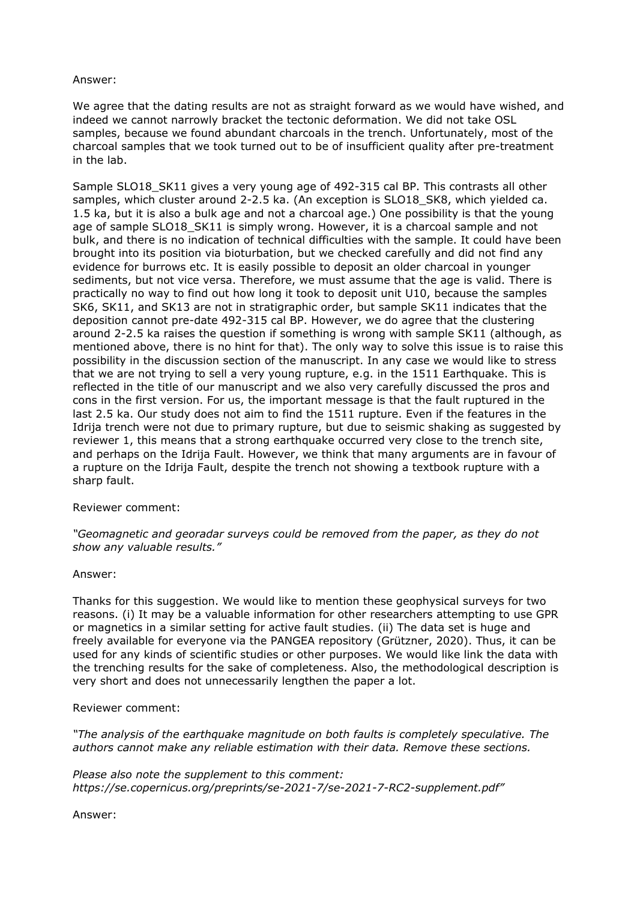### Answer:

We agree that the dating results are not as straight forward as we would have wished, and indeed we cannot narrowly bracket the tectonic deformation. We did not take OSL samples, because we found abundant charcoals in the trench. Unfortunately, most of the charcoal samples that we took turned out to be of insufficient quality after pre-treatment in the lab.

Sample SLO18\_SK11 gives a very young age of 492-315 cal BP. This contrasts all other samples, which cluster around 2-2.5 ka. (An exception is SLO18 SK8, which yielded ca. 1.5 ka, but it is also a bulk age and not a charcoal age.) One possibility is that the young age of sample SLO18 SK11 is simply wrong. However, it is a charcoal sample and not bulk, and there is no indication of technical difficulties with the sample. It could have been brought into its position via bioturbation, but we checked carefully and did not find any evidence for burrows etc. It is easily possible to deposit an older charcoal in younger sediments, but not vice versa. Therefore, we must assume that the age is valid. There is practically no way to find out how long it took to deposit unit U10, because the samples SK6, SK11, and SK13 are not in stratigraphic order, but sample SK11 indicates that the deposition cannot pre-date 492-315 cal BP. However, we do agree that the clustering around 2-2.5 ka raises the question if something is wrong with sample SK11 (although, as mentioned above, there is no hint for that). The only way to solve this issue is to raise this possibility in the discussion section of the manuscript. In any case we would like to stress that we are not trying to sell a very young rupture, e.g. in the 1511 Earthquake. This is reflected in the title of our manuscript and we also very carefully discussed the pros and cons in the first version. For us, the important message is that the fault ruptured in the last 2.5 ka. Our study does not aim to find the 1511 rupture. Even if the features in the Idrija trench were not due to primary rupture, but due to seismic shaking as suggested by reviewer 1, this means that a strong earthquake occurred very close to the trench site, and perhaps on the Idrija Fault. However, we think that many arguments are in favour of a rupture on the Idrija Fault, despite the trench not showing a textbook rupture with a sharp fault.

# Reviewer comment:

*"Geomagnetic and georadar surveys could be removed from the paper, as they do not show any valuable results."*

#### Answer:

Thanks for this suggestion. We would like to mention these geophysical surveys for two reasons. (i) It may be a valuable information for other researchers attempting to use GPR or magnetics in a similar setting for active fault studies. (ii) The data set is huge and freely available for everyone via the PANGEA repository (Grützner, 2020). Thus, it can be used for any kinds of scientific studies or other purposes. We would like link the data with the trenching results for the sake of completeness. Also, the methodological description is very short and does not unnecessarily lengthen the paper a lot.

# Reviewer comment:

*"The analysis of the earthquake magnitude on both faults is completely speculative. The authors cannot make any reliable estimation with their data. Remove these sections.*

*Please also note the supplement to this comment: https://se.copernicus.org/preprints/se-2021-7/se-2021-7-RC2-supplement.pdf"*

Answer: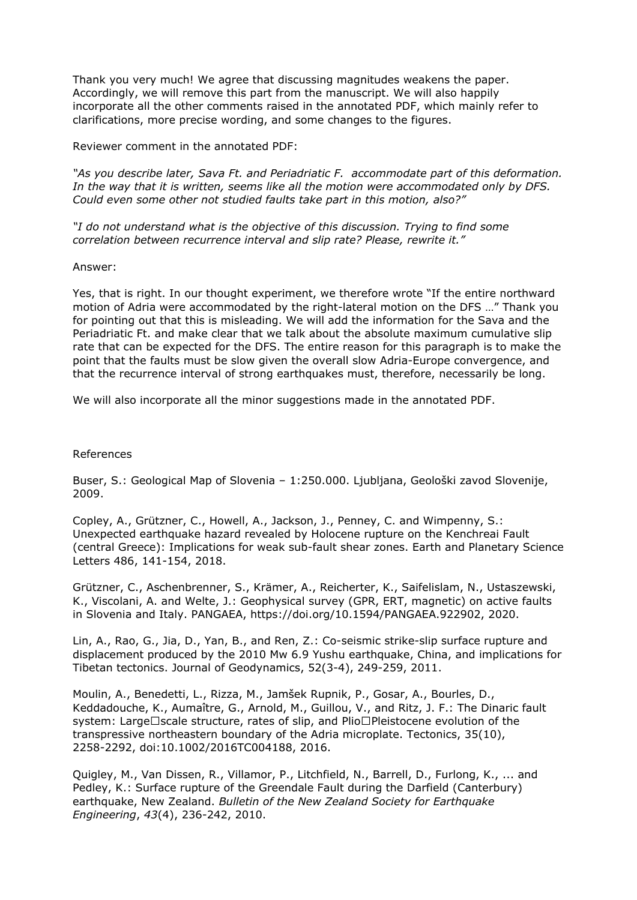Thank you very much! We agree that discussing magnitudes weakens the paper. Accordingly, we will remove this part from the manuscript. We will also happily incorporate all the other comments raised in the annotated PDF, which mainly refer to clarifications, more precise wording, and some changes to the figures.

Reviewer comment in the annotated PDF:

*"As you describe later, Sava Ft. and Periadriatic F. accommodate part of this deformation. In the way that it is written, seems like all the motion were accommodated only by DFS. Could even some other not studied faults take part in this motion, also?"*

*"I do not understand what is the objective of this discussion. Trying to find some correlation between recurrence interval and slip rate? Please, rewrite it."*

Answer:

Yes, that is right. In our thought experiment, we therefore wrote "If the entire northward motion of Adria were accommodated by the right-lateral motion on the DFS …" Thank you for pointing out that this is misleading. We will add the information for the Sava and the Periadriatic Ft. and make clear that we talk about the absolute maximum cumulative slip rate that can be expected for the DFS. The entire reason for this paragraph is to make the point that the faults must be slow given the overall slow Adria-Europe convergence, and that the recurrence interval of strong earthquakes must, therefore, necessarily be long.

We will also incorporate all the minor suggestions made in the annotated PDF.

References

Buser, S.: Geological Map of Slovenia – 1:250.000. Ljubljana, Geološki zavod Slovenije, 2009.

Copley, A., Grützner, C., Howell, A., Jackson, J., Penney, C. and Wimpenny, S.: Unexpected earthquake hazard revealed by Holocene rupture on the Kenchreai Fault (central Greece): Implications for weak sub-fault shear zones. Earth and Planetary Science Letters 486, 141-154, 2018.

Grützner, C., Aschenbrenner, S., Krämer, A., Reicherter, K., Saifelislam, N., Ustaszewski, K., Viscolani, A. and Welte, J.: Geophysical survey (GPR, ERT, magnetic) on active faults in Slovenia and Italy. PANGAEA, https://doi.org/10.1594/PANGAEA.922902, 2020.

Lin, A., Rao, G., Jia, D., Yan, B., and Ren, Z.: Co-seismic strike-slip surface rupture and displacement produced by the 2010 Mw 6.9 Yushu earthquake, China, and implications for Tibetan tectonics. Journal of Geodynamics, 52(3-4), 249-259, 2011.

Moulin, A., Benedetti, L., Rizza, M., Jamšek Rupnik, P., Gosar, A., Bourles, D., Keddadouche, K., Aumaître, G., Arnold, M., Guillou, V., and Ritz, J. F.: The Dinaric fault system: Large□scale structure, rates of slip, and Plio□Pleistocene evolution of the transpressive northeastern boundary of the Adria microplate. Tectonics, 35(10), 2258-2292, doi:10.1002/2016TC004188, 2016.

Quigley, M., Van Dissen, R., Villamor, P., Litchfield, N., Barrell, D., Furlong, K., ... and Pedley, K.: Surface rupture of the Greendale Fault during the Darfield (Canterbury) earthquake, New Zealand. *Bulletin of the New Zealand Society for Earthquake Engineering*, *43*(4), 236-242, 2010.